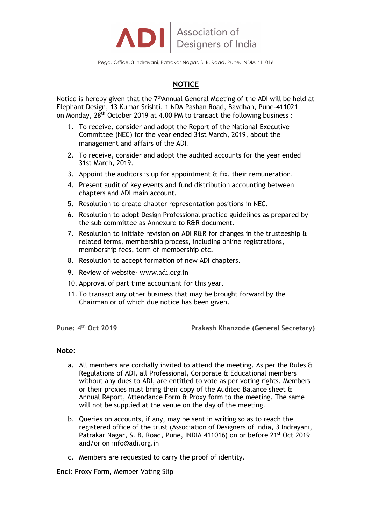

Regd. Office, 3 Indrayani, Patrakar Nagar, S. B. Road, Pune, INDIA 411016

## **NOTICE**

Notice is hereby given that the  $7<sup>th</sup>$ Annual General Meeting of the ADI will be held at Elephant Design, 13 Kumar Srishti, 1 NDA Pashan Road, Bavdhan, Pune-411021 on Monday, 28th October 2019 at 4.00 PM to transact the following business :

- 1. To receive, consider and adopt the Report of the National Executive Committee (NEC) for the year ended 31st March, 2019, about the management and affairs of the ADI.
- 2. To receive, consider and adopt the audited accounts for the year ended 31st March, 2019.
- 3. Appoint the auditors is up for appointment & fix. their remuneration.
- 4. Present audit of key events and fund distribution accounting between chapters and ADI main account.
- 5. Resolution to create chapter representation positions in NEC.
- 6. Resolution to adopt Design Professional practice guidelines as prepared by the sub committee as Annexure to R&R document.
- 7. Resolution to initiate revision on ADI R&R for changes in the trusteeship  $\&$ related terms, membership process, including online registrations, membership fees, term of membership etc.
- 8. Resolution to accept formation of new ADI chapters.
- 9. Review of website- www.adi.org.in
- 10. Approval of part time accountant for this year.
- 11. To transact any other business that may be brought forward by the Chairman or of which due notice has been given.

**Pune: 4th Oct 2019 Prakash Khanzode (General Secretary)**

## **Note:**

- a. All members are cordially invited to attend the meeting. As per the Rules & Regulations of ADI, all Professional, Corporate & Educational members without any dues to ADI, are entitled to vote as per voting rights. Members or their proxies must bring their copy of the Audited Balance sheet & Annual Report, Attendance Form & Proxy form to the meeting. The same will not be supplied at the venue on the day of the meeting.
- b. Queries on accounts, if any, may be sent in writing so as to reach the registered office of the trust (Association of Designers of India, 3 Indrayani, Patrakar Nagar, S. B. Road, Pune, INDIA 411016) on or before 21<sup>st</sup> Oct 2019 and/or on info@adi.org.in
- c. Members are requested to carry the proof of identity.

**Encl:** Proxy Form, Member Voting Slip